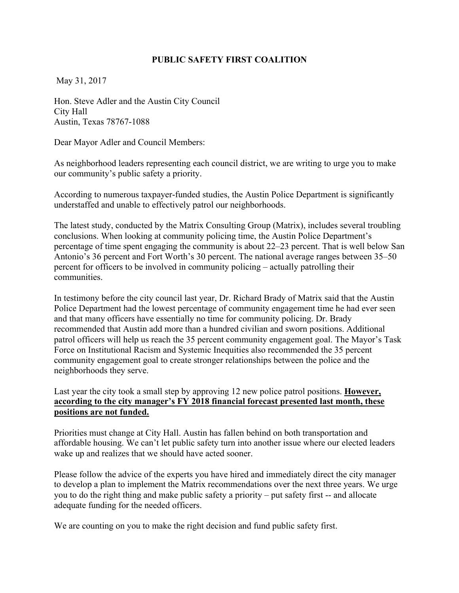## **PUBLIC SAFETY FIRST COALITION**

May 31, 2017

Hon. Steve Adler and the Austin City Council City Hall Austin, Texas 78767-1088

Dear Mayor Adler and Council Members:

As neighborhood leaders representing each council district, we are writing to urge you to make our community's public safety a priority.

According to numerous taxpayer-funded studies, the Austin Police Department is significantly understaffed and unable to effectively patrol our neighborhoods.

The latest study, conducted by the Matrix Consulting Group (Matrix), includes several troubling conclusions. When looking at community policing time, the Austin Police Department's percentage of time spent engaging the community is about 22–23 percent. That is well below San Antonio's 36 percent and Fort Worth's 30 percent. The national average ranges between 35–50 percent for officers to be involved in community policing – actually patrolling their communities.

In testimony before the city council last year, Dr. Richard Brady of Matrix said that the Austin Police Department had the lowest percentage of community engagement time he had ever seen and that many officers have essentially no time for community policing. Dr. Brady recommended that Austin add more than a hundred civilian and sworn positions. Additional patrol officers will help us reach the 35 percent community engagement goal. The Mayor's Task Force on Institutional Racism and Systemic Inequities also recommended the 35 percent community engagement goal to create stronger relationships between the police and the neighborhoods they serve.

# Last year the city took a small step by approving 12 new police patrol positions. **However, according to the city manager's FY 2018 financial forecast presented last month, these positions are not funded.**

Priorities must change at City Hall. Austin has fallen behind on both transportation and affordable housing. We can't let public safety turn into another issue where our elected leaders wake up and realizes that we should have acted sooner.

Please follow the advice of the experts you have hired and immediately direct the city manager to develop a plan to implement the Matrix recommendations over the next three years. We urge you to do the right thing and make public safety a priority – put safety first -- and allocate adequate funding for the needed officers.

We are counting on you to make the right decision and fund public safety first.